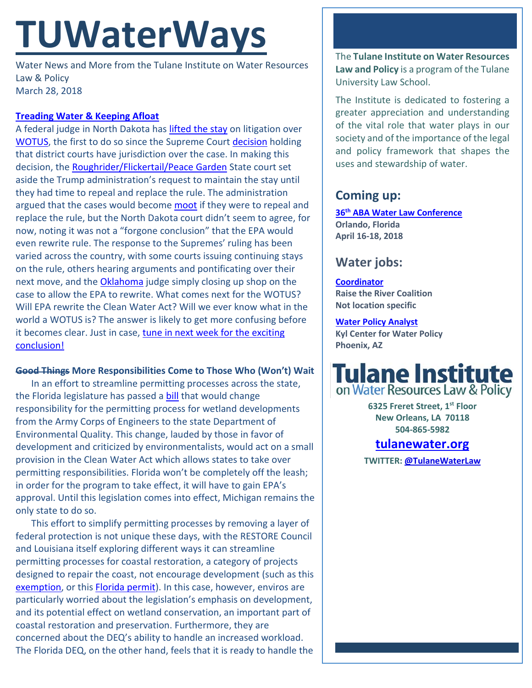# **TUWaterWays**

Water News and More from the Tulane Institute on Water Resources Law & Policy March 28, 2018

## **[Treading Water & Keeping Afloat](https://videopress.com/v/nwJ0fYJL)**

A federal judge in North Dakota has *lifted the stay* on litigation over [WOTUS,](https://www.epa.gov/wotus-rule/frequently-asked-questions) the first to do so since the Supreme Court [decision](https://www.supremecourt.gov/opinions/17pdf/16-299_8nk0.pdf) holding that district courts have jurisdiction over the case. In making this decision, the [Roughrider/Flickertail/Peace Garden](https://www.nd.gov/content.htm?parentCatID=74&id=Nicknames) State court set aside the Trump administration's request to maintain the stay until they had time to repeal and replace the rule. The administration argued that the cases would become [moot](https://www.law.cornell.edu/wex/moot) if they were to repeal and replace the rule, but the North Dakota court didn't seem to agree, for now, noting it was not a "forgone conclusion" that the EPA would even rewrite rule. The response to the Supremes' ruling has been varied across the country, with some courts issuing continuing stays on the rule, others hearing arguments and pontificating over their next move, and the [Oklahoma](https://en.wikipedia.org/wiki/Scott_Pruitt) judge simply closing up shop on the case to allow the EPA to rewrite. What comes next for the WOTUS? Will EPA rewrite the Clean Water Act? Will we ever know what in the world a WOTUS is? The answer is likely to get more confusing before it becomes clear. Just in case, tune in next week for the exciting [conclusion!](https://getyarn.io/yarn-clip/5f4da156-7659-43bf-ab4f-f26fa477209b)

## **Good Things More Responsibilities Come to Those Who (Won't) Wait**

In an effort to streamline permitting processes across the state, the Florida legislature has passed a **bill** that would change responsibility for the permitting process for wetland developments from the Army Corps of Engineers to the state Department of Environmental Quality. This change, lauded by those in favor of development and criticized by environmentalists, would act on a small provision in the Clean Water Act which allows states to take over permitting responsibilities. Florida won't be completely off the leash; in order for the program to take effect, it will have to gain EPA's approval. Until this legislation comes into effect, Michigan remains the only state to do so.

This effort to simplify permitting processes by removing a layer of federal protection is not unique these days, with the RESTORE Council and Louisiana itself exploring different ways it can streamline permitting processes for coastal restoration, a category of projects designed to repair the coast, not encourage development (such as this [exemption,](http://www.nola.com/environment/index.ssf/2018/03/feds_grant_waiver_of_law_prote.html#incart_river_index) or this [Florida permit\)](https://www.tcpalm.com/story/news/local/indian-river-lagoon/health/2018/03/27/lake-okeechobee-reservoir-plan-submitted-corps-engineers/461451002/). In this case, however, enviros are particularly worried about the legislation's emphasis on development, and its potential effect on wetland conservation, an important part of coastal restoration and preservation. Furthermore, they are concerned about the DEQ's ability to handle an increased workload. The Florida DEQ, on the other hand, feels that it is ready to handle the

The **Tulane Institute on Water Resources Law and Policy** is a program of the Tulane University Law School.

The Institute is dedicated to fostering a greater appreciation and understanding of the vital role that water plays in our society and of the importance of the legal and policy framework that shapes the uses and stewardship of water.

## **Coming up:**

**36th [ABA Water Law Conference](https://shop.americanbar.org/ebus/ABAEventsCalendar/EventDetails.aspx?productId=280694689) Orlando, Florida April 16-18, 2018** 

## **Water jobs:**

**[Coordinator](https://raisetheriver.org/raise-river-job-opportunity-coordinator/) Raise the River Coalition Not location specific**

## **[Water Policy Analyst](https://sjobs.brassring.com/TGnewUI/Search/home/HomeWithPreLoad?partnerid=25620&siteid=5494&PageType=JobDetails&jobid=3367158#jobDetails=3367158_5494)**

**Kyl Center for Water Policy Phoenix, AZ**



**6325 Freret Street, 1st Floor New Orleans, LA 70118 504-865-5982** 

## **tulanewater.org**

**TWITTER[: @TulaneWaterLaw](http://www.twitter.com/TulaneWaterLaw)**